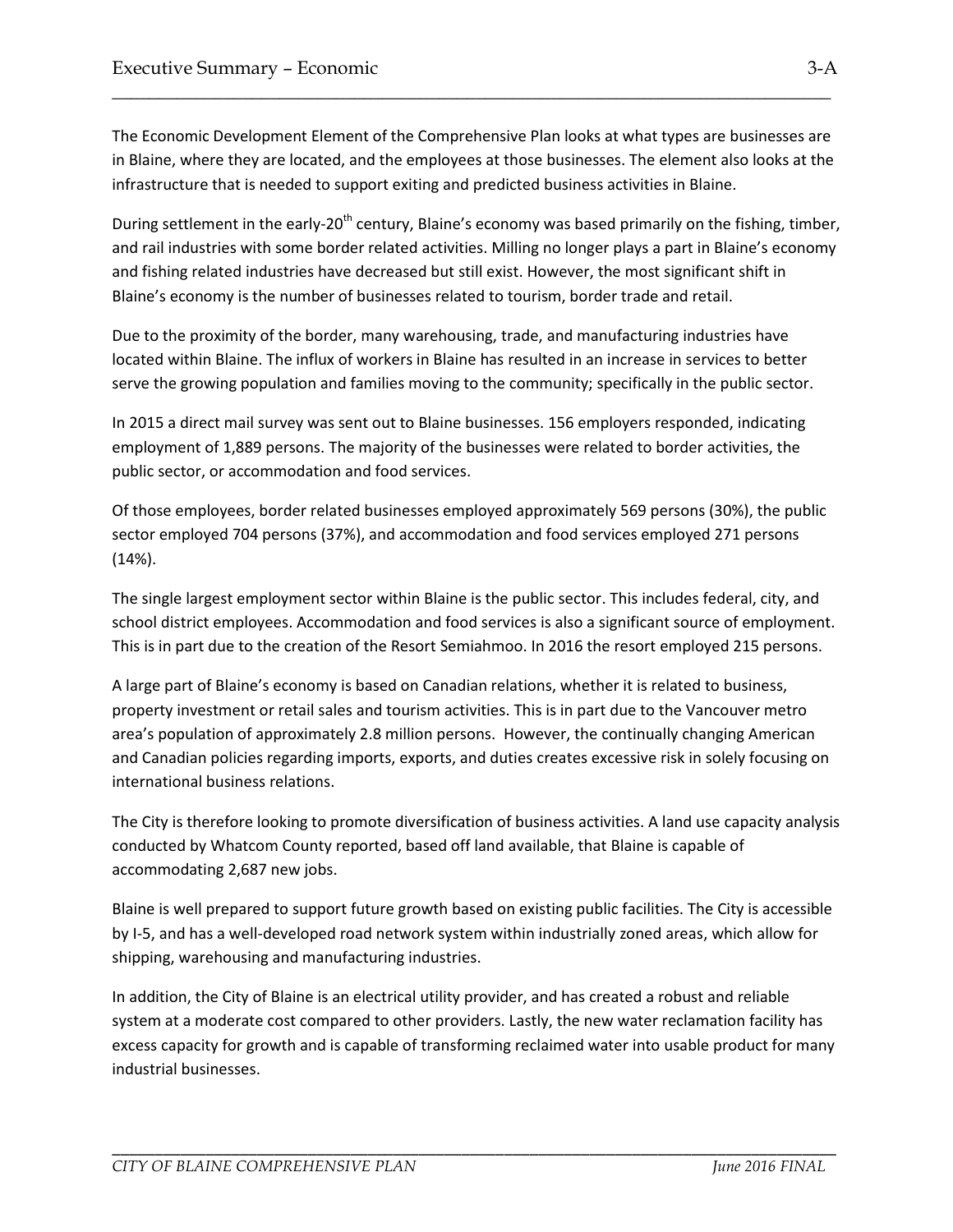The Economic Development Element of the Comprehensive Plan looks at what types are businesses are in Blaine, where they are located, and the employees at those businesses. The element also looks at the infrastructure that is needed to support exiting and predicted business activities in Blaine.

\_\_\_\_\_\_\_\_\_\_\_\_\_\_\_\_\_\_\_\_\_\_\_\_\_\_\_\_\_\_\_\_\_\_\_\_\_\_\_\_\_\_\_\_\_\_\_\_\_\_\_\_\_\_\_\_\_\_\_\_\_\_\_\_\_\_\_\_\_\_\_\_\_\_\_\_\_

During settlement in the early-20<sup>th</sup> century, Blaine's economy was based primarily on the fishing, timber, and rail industries with some border related activities. Milling no longer plays a part in Blaine's economy and fishing related industries have decreased but still exist. However, the most significant shift in Blaine's economy is the number of businesses related to tourism, border trade and retail.

Due to the proximity of the border, many warehousing, trade, and manufacturing industries have located within Blaine. The influx of workers in Blaine has resulted in an increase in services to better serve the growing population and families moving to the community; specifically in the public sector.

In 2015 a direct mail survey was sent out to Blaine businesses. 156 employers responded, indicating employment of 1,889 persons. The majority of the businesses were related to border activities, the public sector, or accommodation and food services.

Of those employees, border related businesses employed approximately 569 persons (30%), the public sector employed 704 persons (37%), and accommodation and food services employed 271 persons (14%).

The single largest employment sector within Blaine is the public sector. This includes federal, city, and school district employees. Accommodation and food services is also a significant source of employment. This is in part due to the creation of the Resort Semiahmoo. In 2016 the resort employed 215 persons.

A large part of Blaine's economy is based on Canadian relations, whether it is related to business, property investment or retail sales and tourism activities. This is in part due to the Vancouver metro area's population of approximately 2.8 million persons. However, the continually changing American and Canadian policies regarding imports, exports, and duties creates excessive risk in solely focusing on international business relations.

The City is therefore looking to promote diversification of business activities. A land use capacity analysis conducted by Whatcom County reported, based off land available, that Blaine is capable of accommodating 2,687 new jobs.

Blaine is well prepared to support future growth based on existing public facilities. The City is accessible by I-5, and has a well-developed road network system within industrially zoned areas, which allow for shipping, warehousing and manufacturing industries.

In addition, the City of Blaine is an electrical utility provider, and has created a robust and reliable system at a moderate cost compared to other providers. Lastly, the new water reclamation facility has excess capacity for growth and is capable of transforming reclaimed water into usable product for many industrial businesses.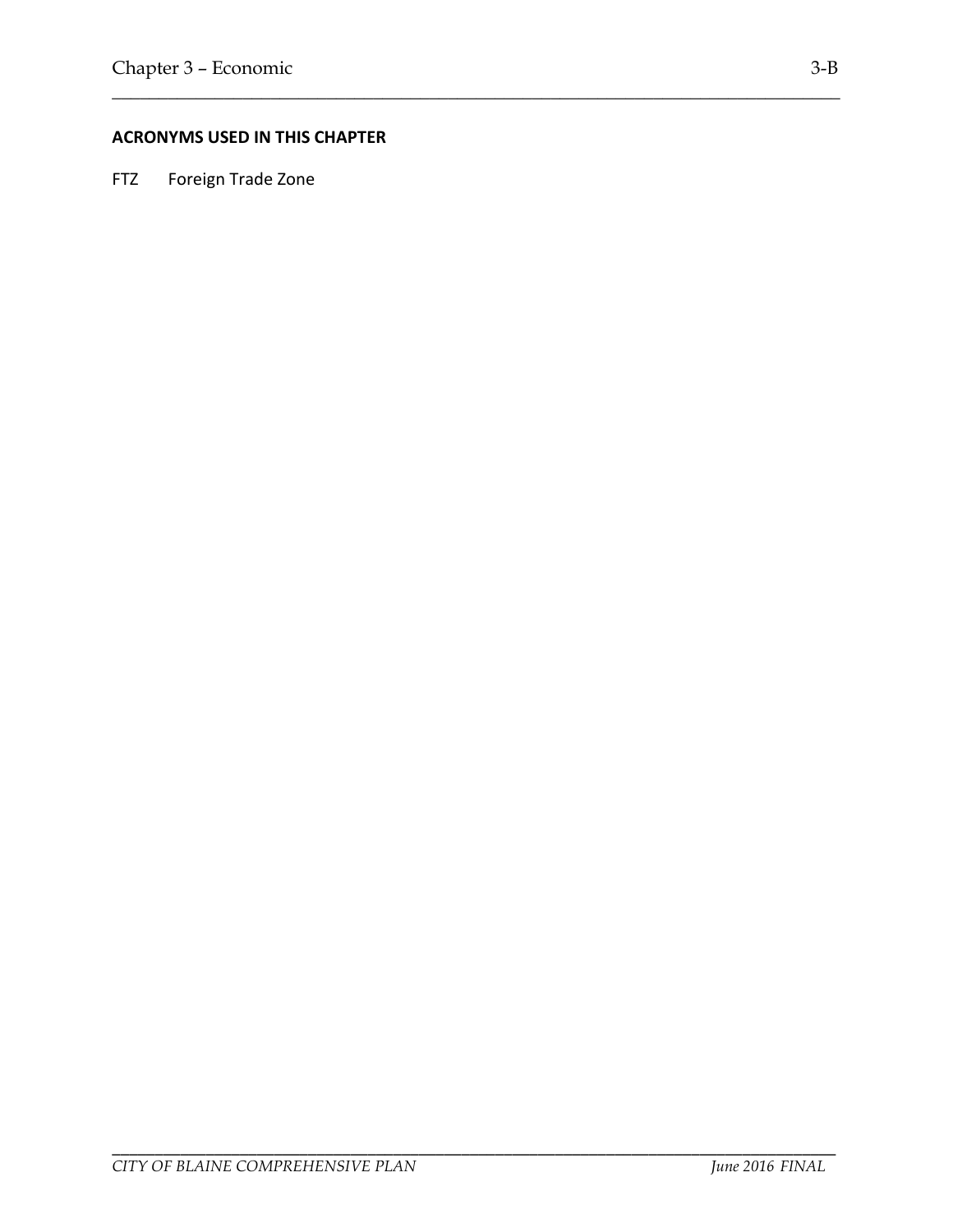#### **ACRONYMS USED IN THIS CHAPTER**

\_\_\_\_\_\_\_\_\_\_\_\_\_\_\_\_\_\_\_\_\_\_\_\_\_\_\_\_\_\_\_\_\_\_\_\_\_\_\_\_\_\_\_\_\_\_\_\_\_\_\_\_\_\_\_\_\_\_\_\_\_\_\_\_\_\_\_\_\_\_\_\_\_\_\_\_\_\_

FTZ Foreign Trade Zone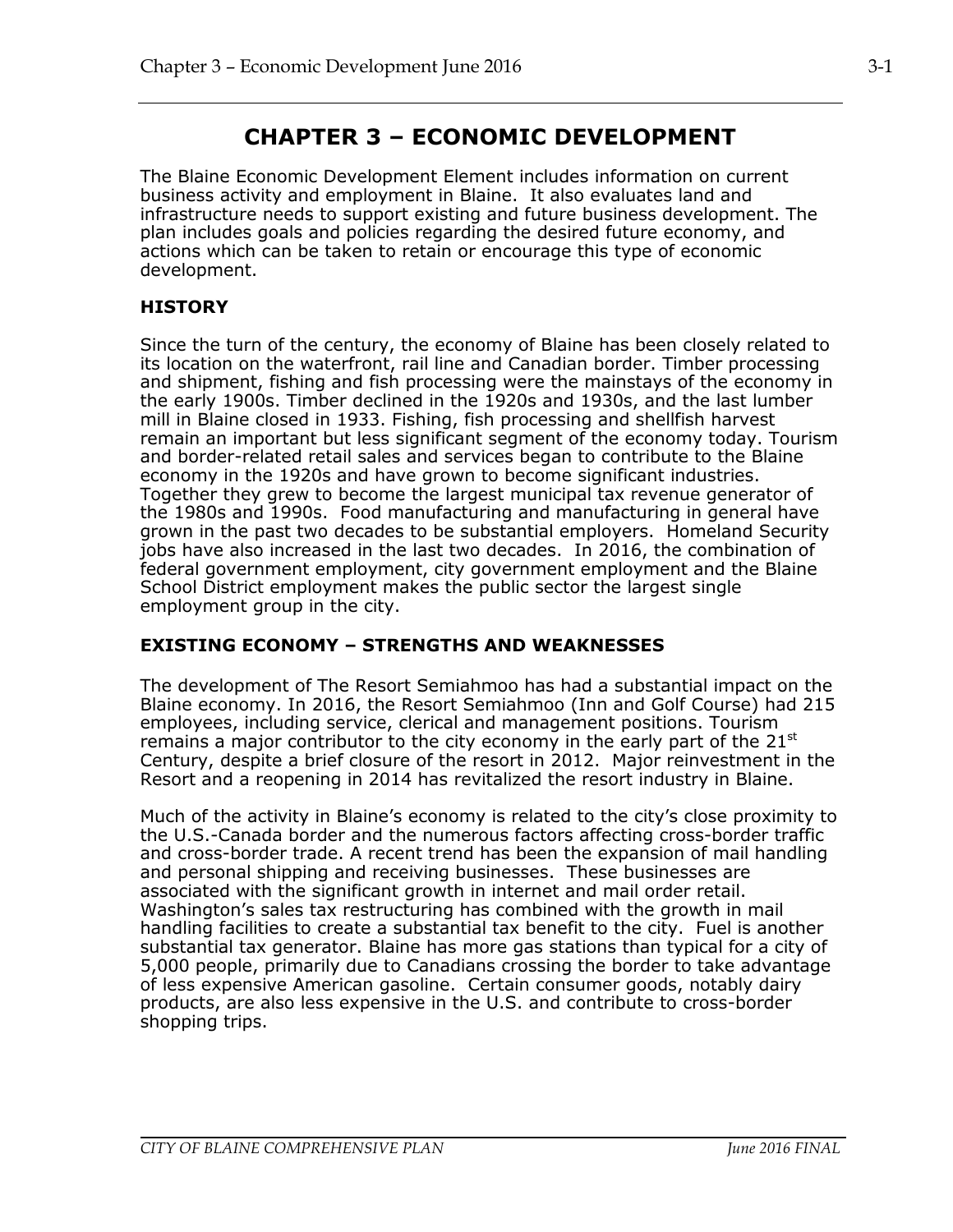# **CHAPTER 3 – ECONOMIC DEVELOPMENT**

The Blaine Economic Development Element includes information on current business activity and employment in Blaine. It also evaluates land and infrastructure needs to support existing and future business development. The plan includes goals and policies regarding the desired future economy, and actions which can be taken to retain or encourage this type of economic development.

### **HISTORY**

Since the turn of the century, the economy of Blaine has been closely related to its location on the waterfront, rail line and Canadian border. Timber processing and shipment, fishing and fish processing were the mainstays of the economy in the early 1900s. Timber declined in the 1920s and 1930s, and the last lumber mill in Blaine closed in 1933. Fishing, fish processing and shellfish harvest remain an important but less significant segment of the economy today. Tourism and border-related retail sales and services began to contribute to the Blaine economy in the 1920s and have grown to become significant industries. Together they grew to become the largest municipal tax revenue generator of the 1980s and 1990s. Food manufacturing and manufacturing in general have grown in the past two decades to be substantial employers. Homeland Security jobs have also increased in the last two decades. In 2016, the combination of federal government employment, city government employment and the Blaine School District employment makes the public sector the largest single employment group in the city.

### **EXISTING ECONOMY – STRENGTHS AND WEAKNESSES**

The development of The Resort Semiahmoo has had a substantial impact on the Blaine economy. In 2016, the Resort Semiahmoo (Inn and Golf Course) had 215 employees, including service, clerical and management positions. Tourism remains a major contributor to the city economy in the early part of the  $21^{st}$ Century, despite a brief closure of the resort in 2012. Major reinvestment in the Resort and a reopening in 2014 has revitalized the resort industry in Blaine.

Much of the activity in Blaine's economy is related to the city's close proximity to the U.S.-Canada border and the numerous factors affecting cross-border traffic and cross-border trade. A recent trend has been the expansion of mail handling and personal shipping and receiving businesses. These businesses are associated with the significant growth in internet and mail order retail. Washington's sales tax restructuring has combined with the growth in mail handling facilities to create a substantial tax benefit to the city. Fuel is another substantial tax generator. Blaine has more gas stations than typical for a city of 5,000 people, primarily due to Canadians crossing the border to take advantage of less expensive American gasoline. Certain consumer goods, notably dairy products, are also less expensive in the U.S. and contribute to cross-border shopping trips.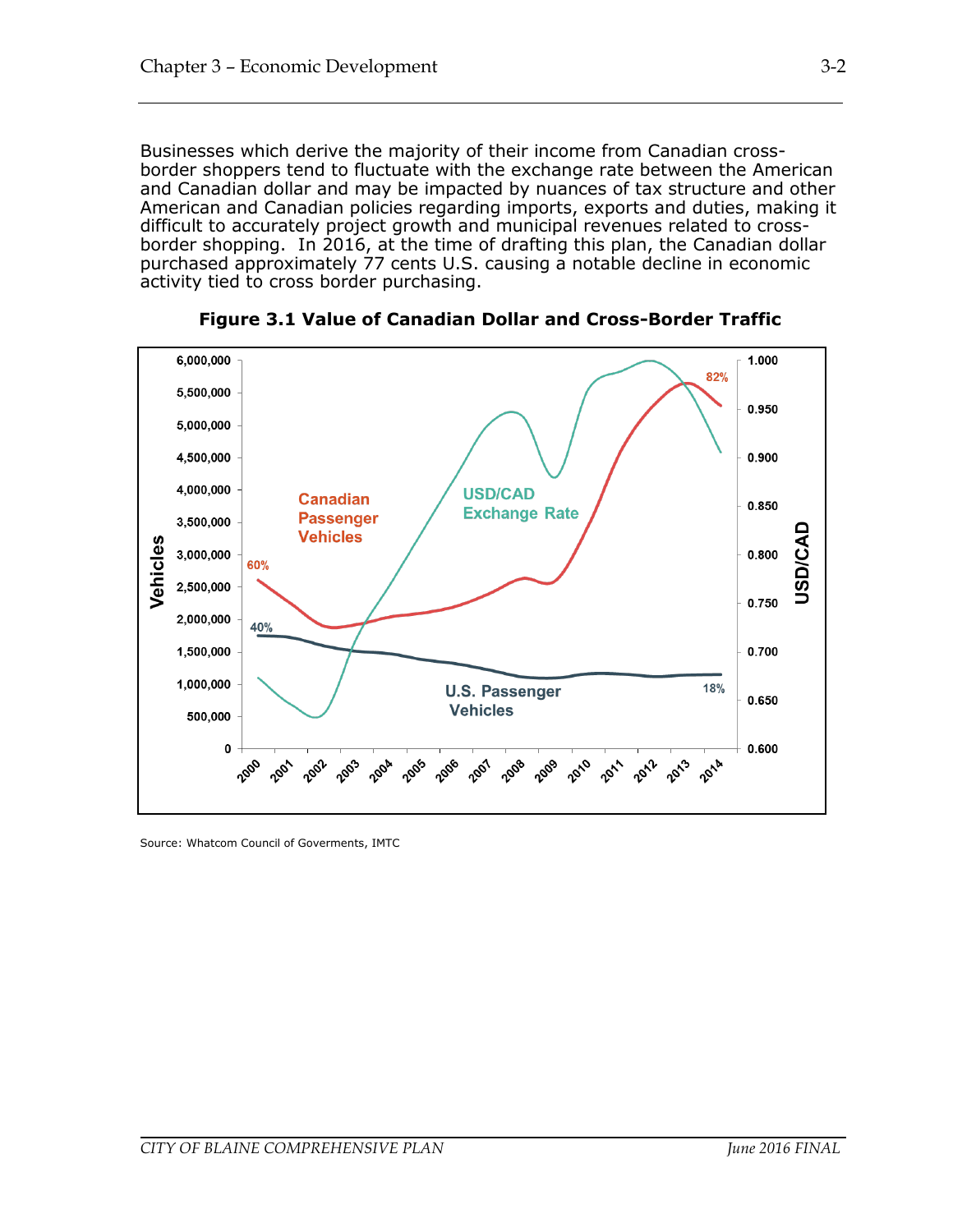Businesses which derive the majority of their income from Canadian crossborder shoppers tend to fluctuate with the exchange rate between the American and Canadian dollar and may be impacted by nuances of tax structure and other American and Canadian policies regarding imports, exports and duties, making it difficult to accurately project growth and municipal revenues related to crossborder shopping. In 2016, at the time of drafting this plan, the Canadian dollar purchased approximately 77 cents U.S. causing a notable decline in economic activity tied to cross border purchasing.



**Figure 3.1 Value of Canadian Dollar and Cross-Border Traffic**

Source: Whatcom Council of Goverments, IMTC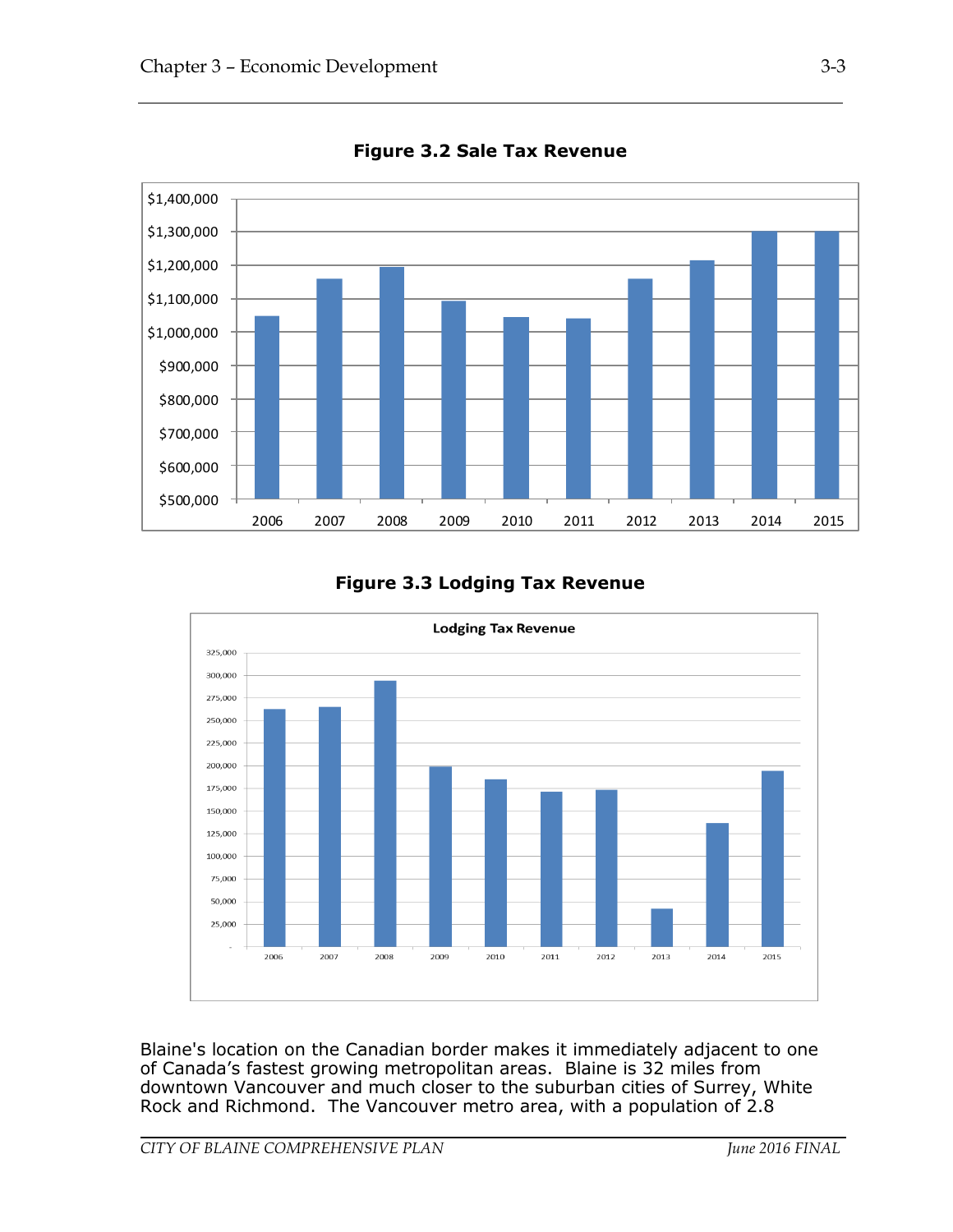

**Figure 3.2 Sale Tax Revenue**

### **Figure 3.3 Lodging Tax Revenue**



Blaine's location on the Canadian border makes it immediately adjacent to one of Canada's fastest growing metropolitan areas. Blaine is 32 miles from downtown Vancouver and much closer to the suburban cities of Surrey, White Rock and Richmond. The Vancouver metro area, with a population of 2.8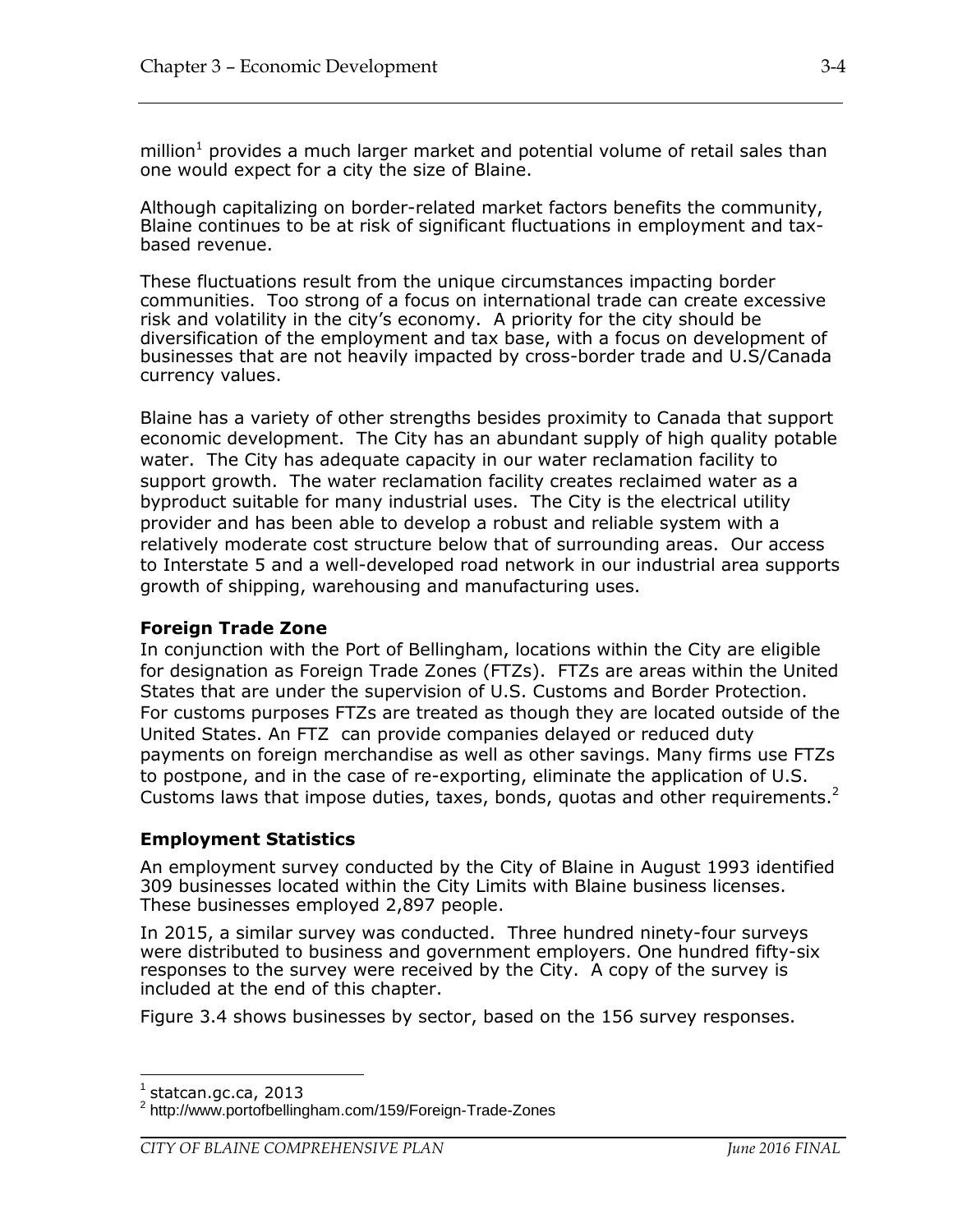million<sup>1</sup> provides a much larger market and potential volume of retail sales than one would expect for a city the size of Blaine.

Although capitalizing on border-related market factors benefits the community, Blaine continues to be at risk of significant fluctuations in employment and taxbased revenue.

These fluctuations result from the unique circumstances impacting border communities. Too strong of a focus on international trade can create excessive risk and volatility in the city's economy. A priority for the city should be diversification of the employment and tax base, with a focus on development of businesses that are not heavily impacted by cross-border trade and U.S/Canada currency values.

Blaine has a variety of other strengths besides proximity to Canada that support economic development. The City has an abundant supply of high quality potable water. The City has adequate capacity in our water reclamation facility to support growth. The water reclamation facility creates reclaimed water as a byproduct suitable for many industrial uses. The City is the electrical utility provider and has been able to develop a robust and reliable system with a relatively moderate cost structure below that of surrounding areas. Our access to Interstate 5 and a well-developed road network in our industrial area supports growth of shipping, warehousing and manufacturing uses.

#### **Foreign Trade Zone**

In conjunction with the Port of Bellingham, locations within the City are eligible for designation as Foreign Trade Zones (FTZs). FTZs are areas within the United States that are under the supervision of U.S. Customs and Border Protection. For customs purposes FTZs are treated as though they are located outside of the United States. An FTZ can provide companies delayed or reduced duty payments on foreign merchandise as well as other savings. Many firms use FTZs to postpone, and in the case of re-exporting, eliminate the application of U.S. Customs laws that impose duties, taxes, bonds, quotas and other requirements.<sup>2</sup>

#### **Employment Statistics**

An employment survey conducted by the City of Blaine in August 1993 identified 309 businesses located within the City Limits with Blaine business licenses. These businesses employed 2,897 people.

In 2015, a similar survey was conducted. Three hundred ninety-four surveys were distributed to business and government employers. One hundred fifty-six responses to the survey were received by the City. A copy of the survey is included at the end of this chapter.

Figure 3.4 shows businesses by sector, based on the 156 survey responses.

 $\overline{a}$ 

 $^1$  statcan.gc.ca, 2013

<sup>2</sup> http://www.portofbellingham.com/159/Foreign-Trade-Zones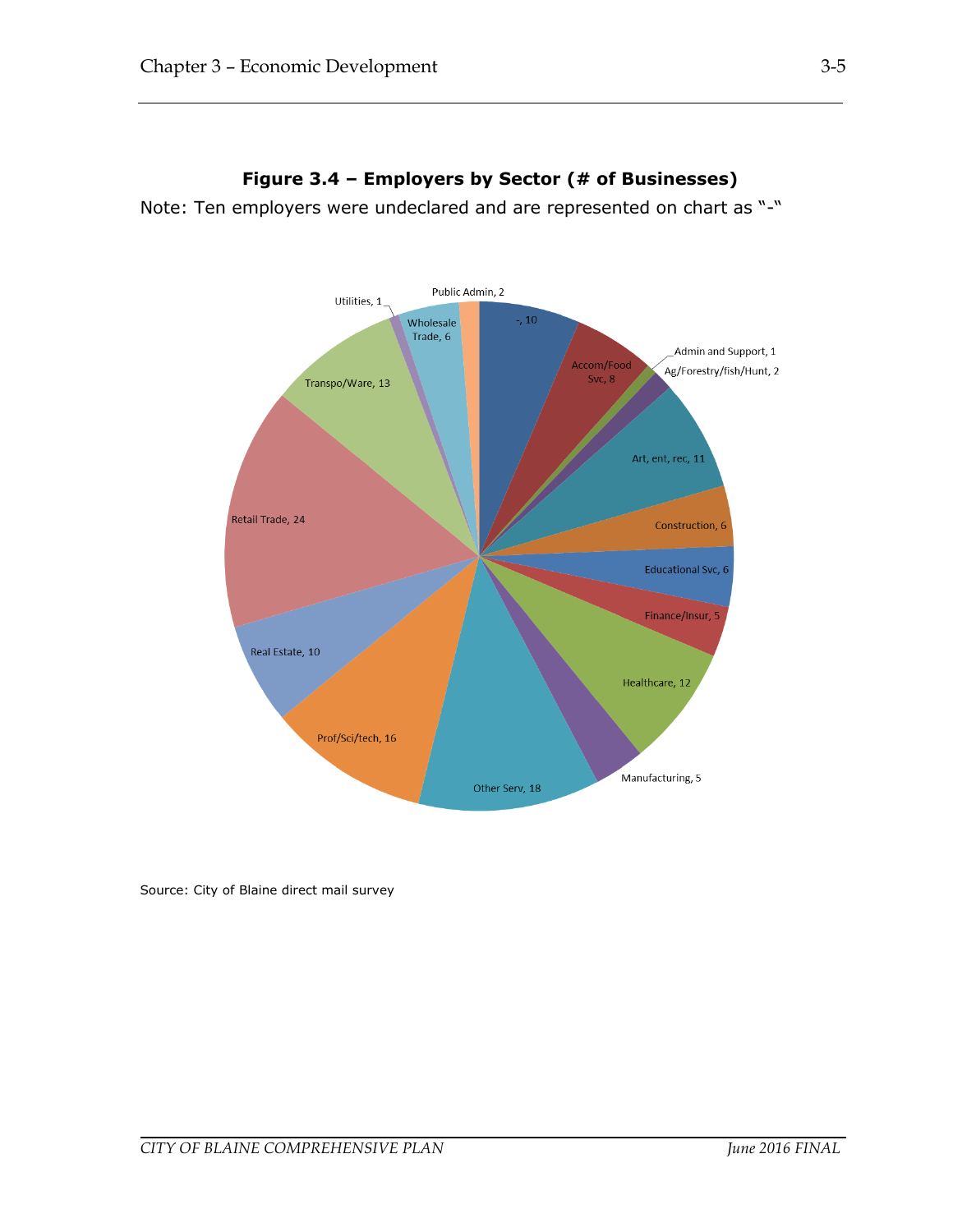

### **Figure 3.4 – Employers by Sector (# of Businesses)**

Note: Ten employers were undeclared and are represented on chart as "-"

Source: City of Blaine direct mail survey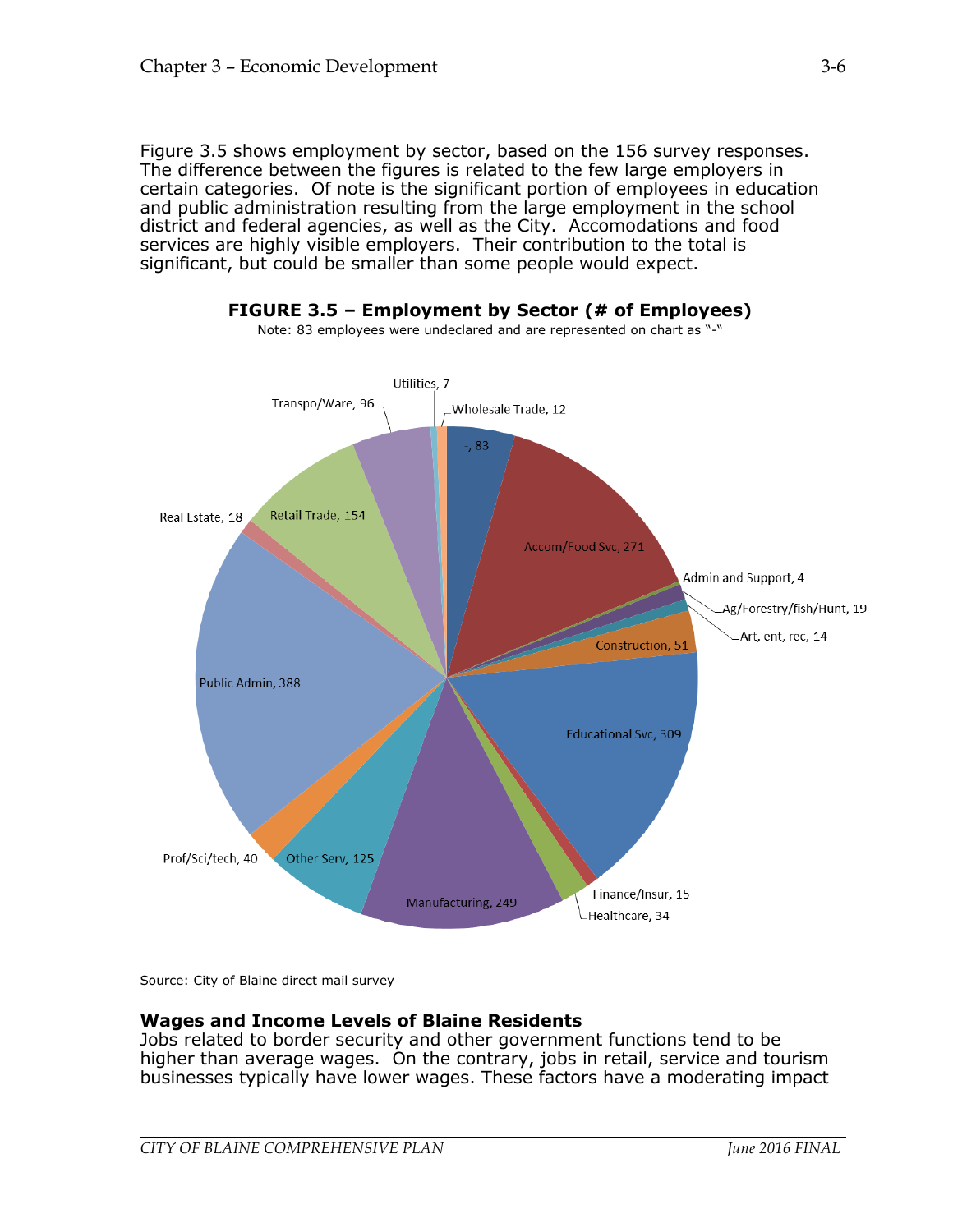Figure 3.5 shows employment by sector, based on the 156 survey responses. The difference between the figures is related to the few large employers in certain categories. Of note is the significant portion of employees in education and public administration resulting from the large employment in the school district and federal agencies, as well as the City. Accomodations and food services are highly visible employers. Their contribution to the total is significant, but could be smaller than some people would expect.



**FIGURE 3.5 – Employment by Sector (# of Employees)**

Source: City of Blaine direct mail survey

#### **Wages and Income Levels of Blaine Residents**

Jobs related to border security and other government functions tend to be higher than average wages. On the contrary, jobs in retail, service and tourism businesses typically have lower wages. These factors have a moderating impact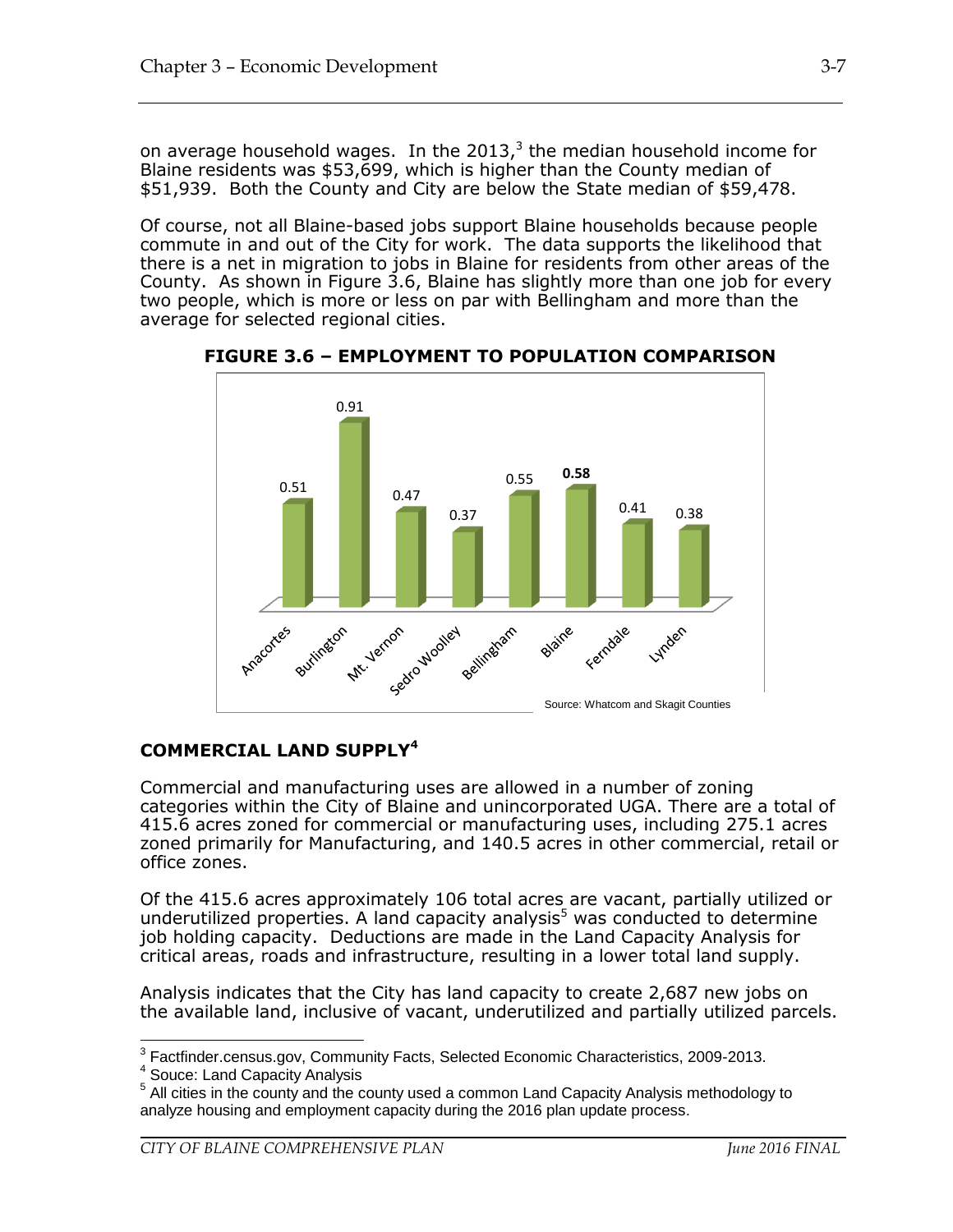on average household wages. In the 2013, $3$  the median household income for Blaine residents was \$53,699, which is higher than the County median of \$51,939. Both the County and City are below the State median of \$59,478.

Of course, not all Blaine-based jobs support Blaine households because people commute in and out of the City for work. The data supports the likelihood that there is a net in migration to jobs in Blaine for residents from other areas of the County. As shown in Figure 3.6, Blaine has slightly more than one job for every two people, which is more or less on par with Bellingham and more than the average for selected regional cities.



**FIGURE 3.6 – EMPLOYMENT TO POPULATION COMPARISON**

### **COMMERCIAL LAND SUPPLY<sup>4</sup>**

Commercial and manufacturing uses are allowed in a number of zoning categories within the City of Blaine and unincorporated UGA. There are a total of 415.6 acres zoned for commercial or manufacturing uses, including 275.1 acres zoned primarily for Manufacturing, and 140.5 acres in other commercial, retail or office zones.

Of the 415.6 acres approximately 106 total acres are vacant, partially utilized or underutilized properties. A land capacity analysis<sup>5</sup> was conducted to determine job holding capacity. Deductions are made in the Land Capacity Analysis for critical areas, roads and infrastructure, resulting in a lower total land supply.

Analysis indicates that the City has land capacity to create 2,687 new jobs on the available land, inclusive of vacant, underutilized and partially utilized parcels.

 3 Factfinder.census.gov, Community Facts, Selected Economic Characteristics, 2009-2013.

<sup>4</sup> Souce: Land Capacity Analysis

<sup>&</sup>lt;sup>5</sup> All cities in the county and the county used a common Land Capacity Analysis methodology to analyze housing and employment capacity during the 2016 plan update process.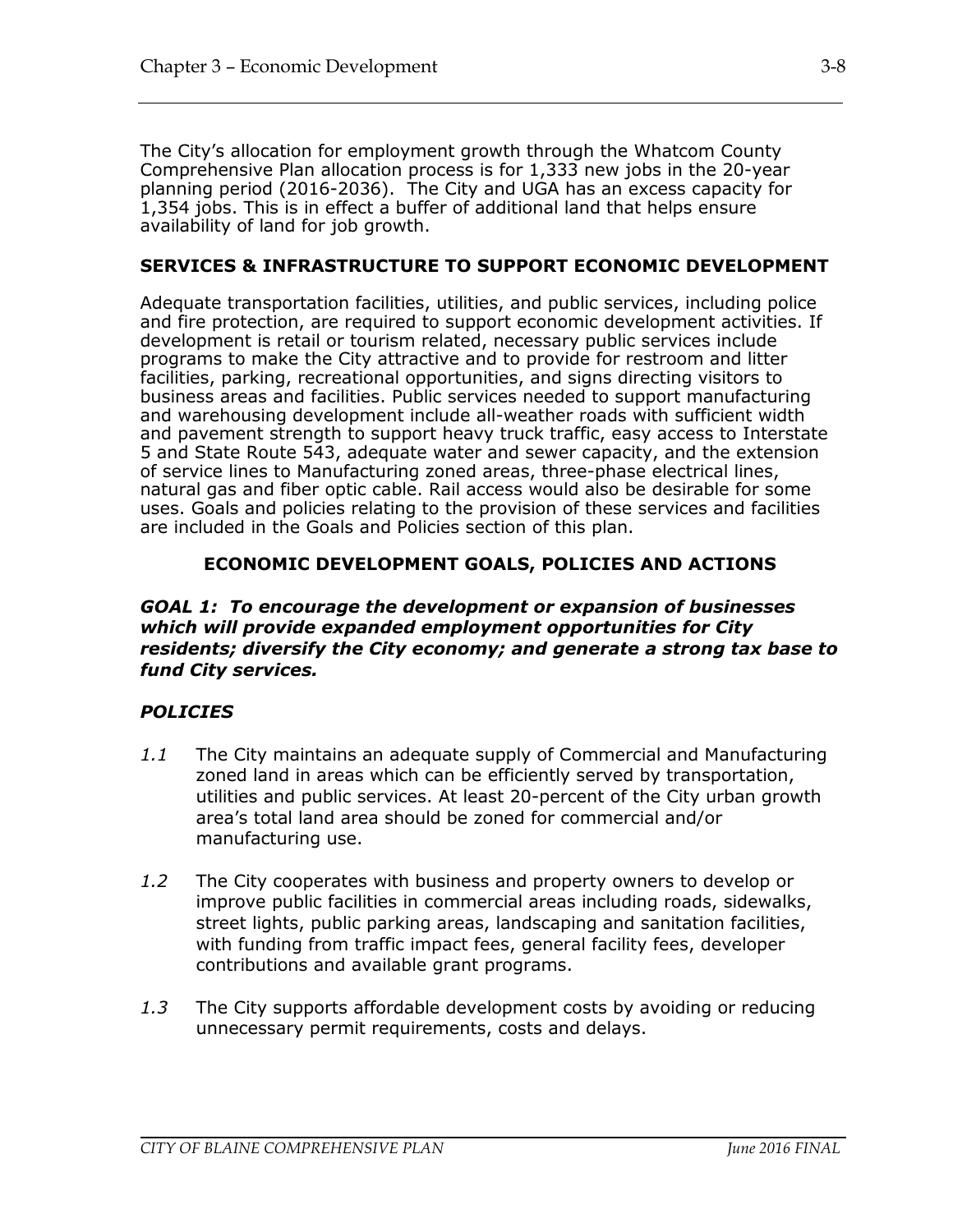The City's allocation for employment growth through the Whatcom County Comprehensive Plan allocation process is for 1,333 new jobs in the 20-year planning period (2016-2036). The City and UGA has an excess capacity for 1,354 jobs. This is in effect a buffer of additional land that helps ensure availability of land for job growth.

### **SERVICES & INFRASTRUCTURE TO SUPPORT ECONOMIC DEVELOPMENT**

Adequate transportation facilities, utilities, and public services, including police and fire protection, are required to support economic development activities. If development is retail or tourism related, necessary public services include programs to make the City attractive and to provide for restroom and litter facilities, parking, recreational opportunities, and signs directing visitors to business areas and facilities. Public services needed to support manufacturing and warehousing development include all-weather roads with sufficient width and pavement strength to support heavy truck traffic, easy access to Interstate 5 and State Route 543, adequate water and sewer capacity, and the extension of service lines to Manufacturing zoned areas, three-phase electrical lines, natural gas and fiber optic cable. Rail access would also be desirable for some uses. Goals and policies relating to the provision of these services and facilities are included in the Goals and Policies section of this plan.

#### **ECONOMIC DEVELOPMENT GOALS, POLICIES AND ACTIONS**

*GOAL 1: To encourage the development or expansion of businesses which will provide expanded employment opportunities for City residents; diversify the City economy; and generate a strong tax base to fund City services.*

#### *POLICIES*

- *1.1* The City maintains an adequate supply of Commercial and Manufacturing zoned land in areas which can be efficiently served by transportation, utilities and public services. At least 20-percent of the City urban growth area's total land area should be zoned for commercial and/or manufacturing use.
- *1.2* The City cooperates with business and property owners to develop or improve public facilities in commercial areas including roads, sidewalks, street lights, public parking areas, landscaping and sanitation facilities, with funding from traffic impact fees, general facility fees, developer contributions and available grant programs.
- *1.3* The City supports affordable development costs by avoiding or reducing unnecessary permit requirements, costs and delays.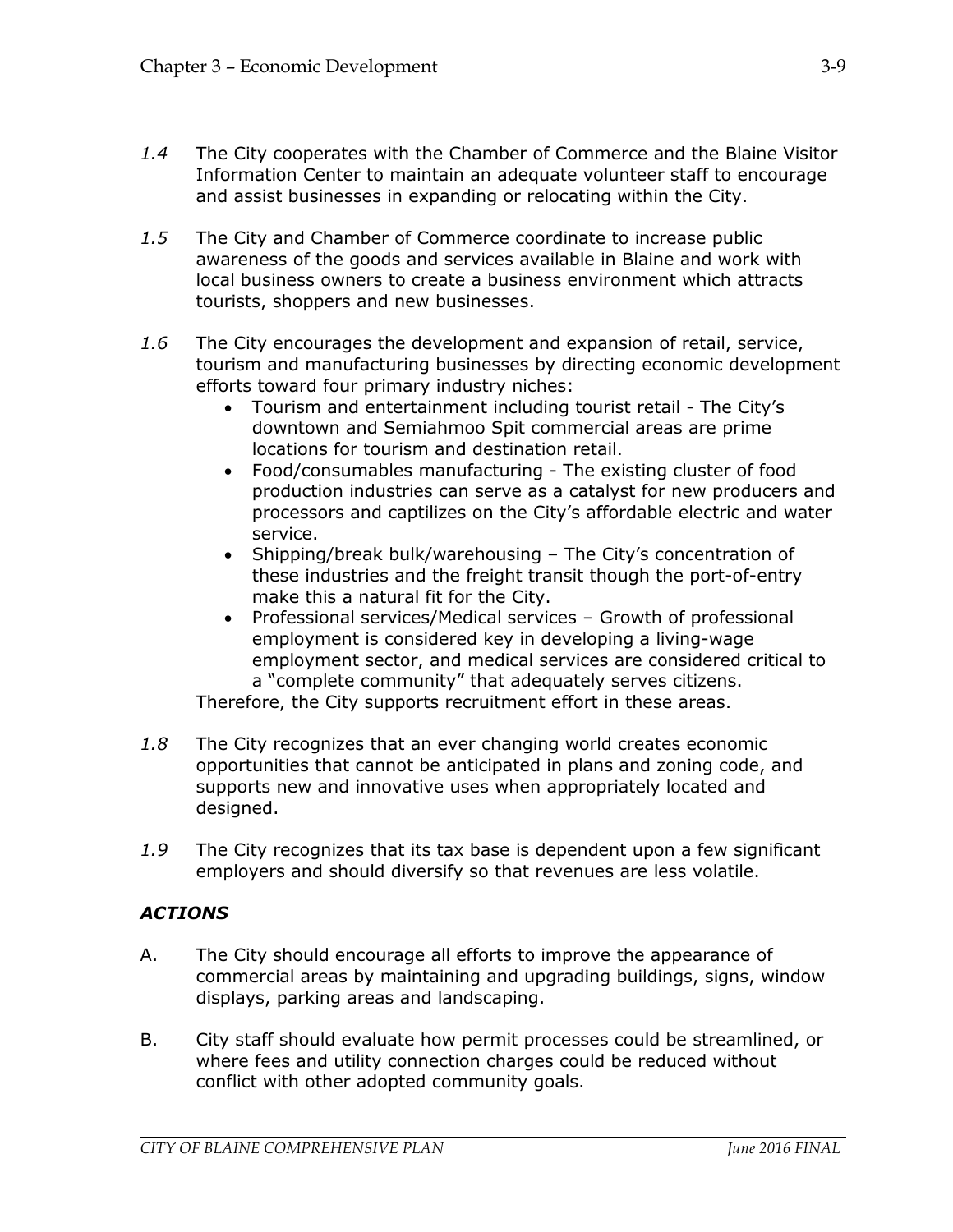- *1.4* The City cooperates with the Chamber of Commerce and the Blaine Visitor Information Center to maintain an adequate volunteer staff to encourage and assist businesses in expanding or relocating within the City.
- *1.5* The City and Chamber of Commerce coordinate to increase public awareness of the goods and services available in Blaine and work with local business owners to create a business environment which attracts tourists, shoppers and new businesses.
- *1.6* The City encourages the development and expansion of retail, service, tourism and manufacturing businesses by directing economic development efforts toward four primary industry niches:
	- Tourism and entertainment including tourist retail The City's downtown and Semiahmoo Spit commercial areas are prime locations for tourism and destination retail.
	- Food/consumables manufacturing The existing cluster of food production industries can serve as a catalyst for new producers and processors and captilizes on the City's affordable electric and water service.
	- Shipping/break bulk/warehousing The City's concentration of these industries and the freight transit though the port-of-entry make this a natural fit for the City.
	- Professional services/Medical services Growth of professional employment is considered key in developing a living-wage employment sector, and medical services are considered critical to a "complete community" that adequately serves citizens.

Therefore, the City supports recruitment effort in these areas.

- *1.8* The City recognizes that an ever changing world creates economic opportunities that cannot be anticipated in plans and zoning code, and supports new and innovative uses when appropriately located and designed.
- *1.9* The City recognizes that its tax base is dependent upon a few significant employers and should diversify so that revenues are less volatile.

## *ACTIONS*

- A. The City should encourage all efforts to improve the appearance of commercial areas by maintaining and upgrading buildings, signs, window displays, parking areas and landscaping.
- B. City staff should evaluate how permit processes could be streamlined, or where fees and utility connection charges could be reduced without conflict with other adopted community goals.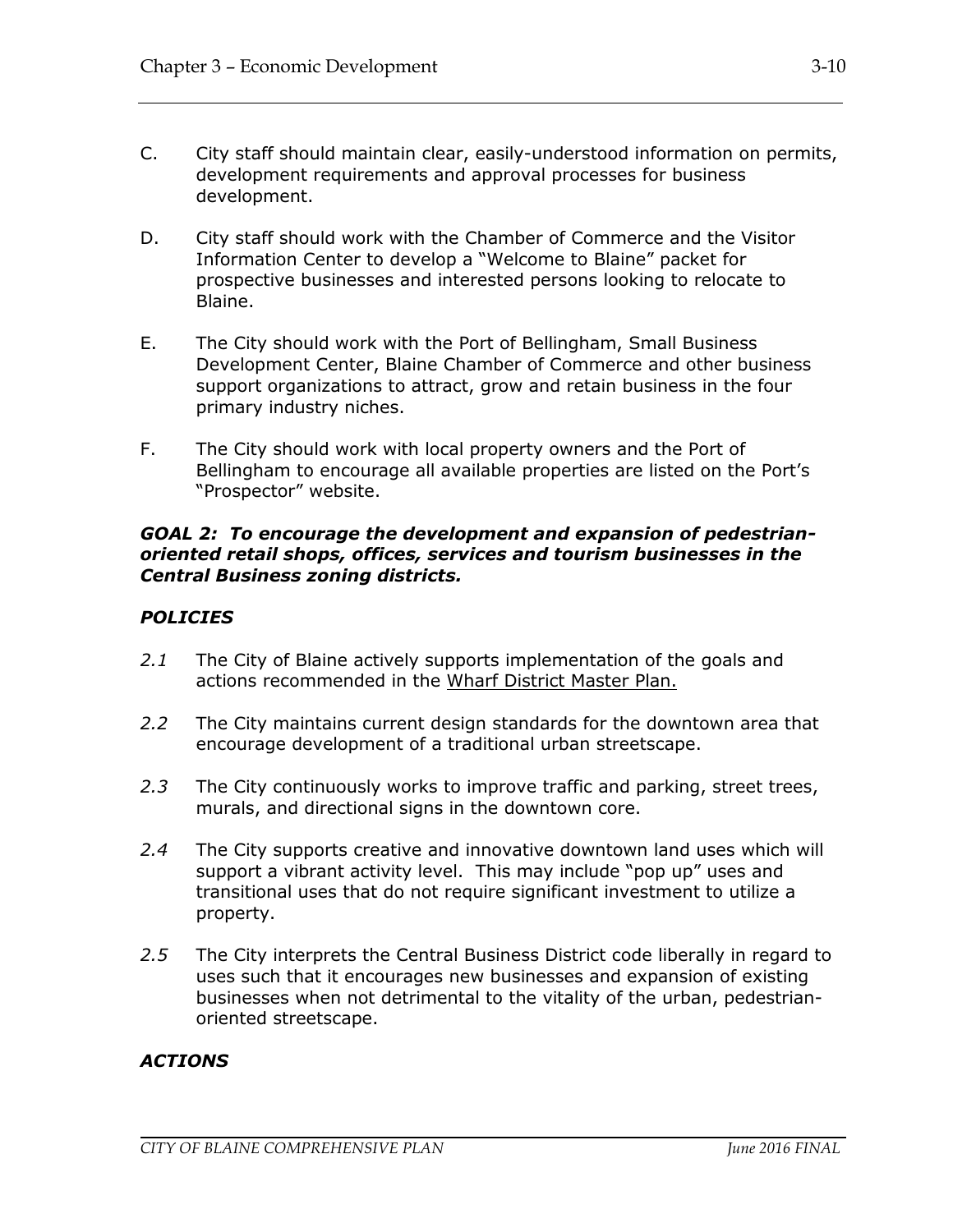- C. City staff should maintain clear, easily-understood information on permits, development requirements and approval processes for business development.
- D. City staff should work with the Chamber of Commerce and the Visitor Information Center to develop a "Welcome to Blaine" packet for prospective businesses and interested persons looking to relocate to Blaine.
- E. The City should work with the Port of Bellingham, Small Business Development Center, Blaine Chamber of Commerce and other business support organizations to attract, grow and retain business in the four primary industry niches.
- F. The City should work with local property owners and the Port of Bellingham to encourage all available properties are listed on the Port's "Prospector" website.

#### *GOAL 2: To encourage the development and expansion of pedestrianoriented retail shops, offices, services and tourism businesses in the Central Business zoning districts.*

### *POLICIES*

- *2.1* The City of Blaine actively supports implementation of the goals and actions recommended in the Wharf District Master Plan.
- *2.2* The City maintains current design standards for the downtown area that encourage development of a traditional urban streetscape.
- *2.3* The City continuously works to improve traffic and parking, street trees, murals, and directional signs in the downtown core.
- *2.4* The City supports creative and innovative downtown land uses which will support a vibrant activity level. This may include "pop up" uses and transitional uses that do not require significant investment to utilize a property.
- *2.5* The City interprets the Central Business District code liberally in regard to uses such that it encourages new businesses and expansion of existing businesses when not detrimental to the vitality of the urban, pedestrianoriented streetscape.

### *ACTIONS*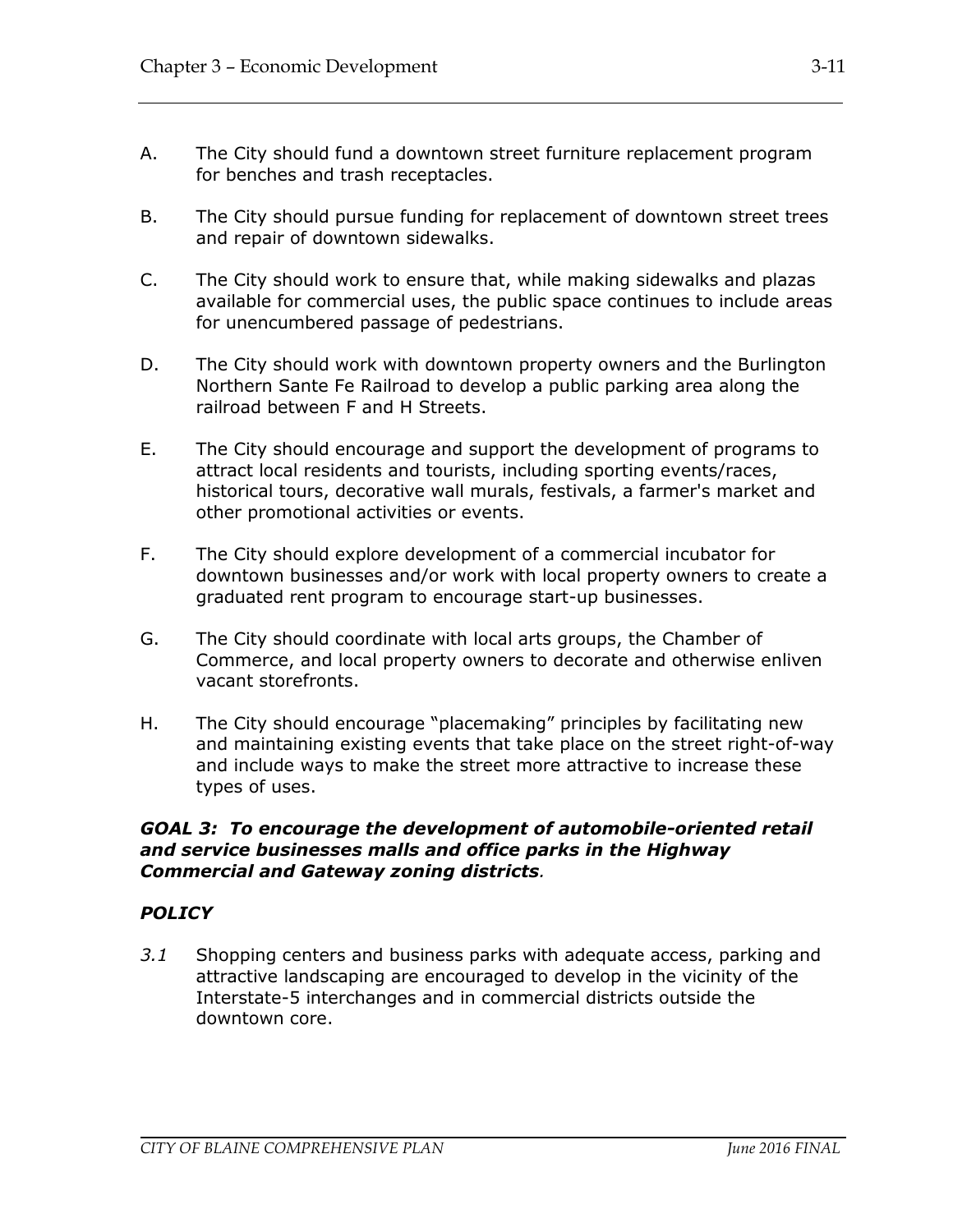- A. The City should fund a downtown street furniture replacement program for benches and trash receptacles.
- B. The City should pursue funding for replacement of downtown street trees and repair of downtown sidewalks.
- C. The City should work to ensure that, while making sidewalks and plazas available for commercial uses, the public space continues to include areas for unencumbered passage of pedestrians.
- D. The City should work with downtown property owners and the Burlington Northern Sante Fe Railroad to develop a public parking area along the railroad between F and H Streets.
- E. The City should encourage and support the development of programs to attract local residents and tourists, including sporting events/races, historical tours, decorative wall murals, festivals, a farmer's market and other promotional activities or events.
- F. The City should explore development of a commercial incubator for downtown businesses and/or work with local property owners to create a graduated rent program to encourage start-up businesses.
- G. The City should coordinate with local arts groups, the Chamber of Commerce, and local property owners to decorate and otherwise enliven vacant storefronts.
- H. The City should encourage "placemaking" principles by facilitating new and maintaining existing events that take place on the street right-of-way and include ways to make the street more attractive to increase these types of uses.

#### *GOAL 3: To encourage the development of automobile-oriented retail and service businesses malls and office parks in the Highway Commercial and Gateway zoning districts.*

### *POLICY*

*3.1* Shopping centers and business parks with adequate access, parking and attractive landscaping are encouraged to develop in the vicinity of the Interstate-5 interchanges and in commercial districts outside the downtown core.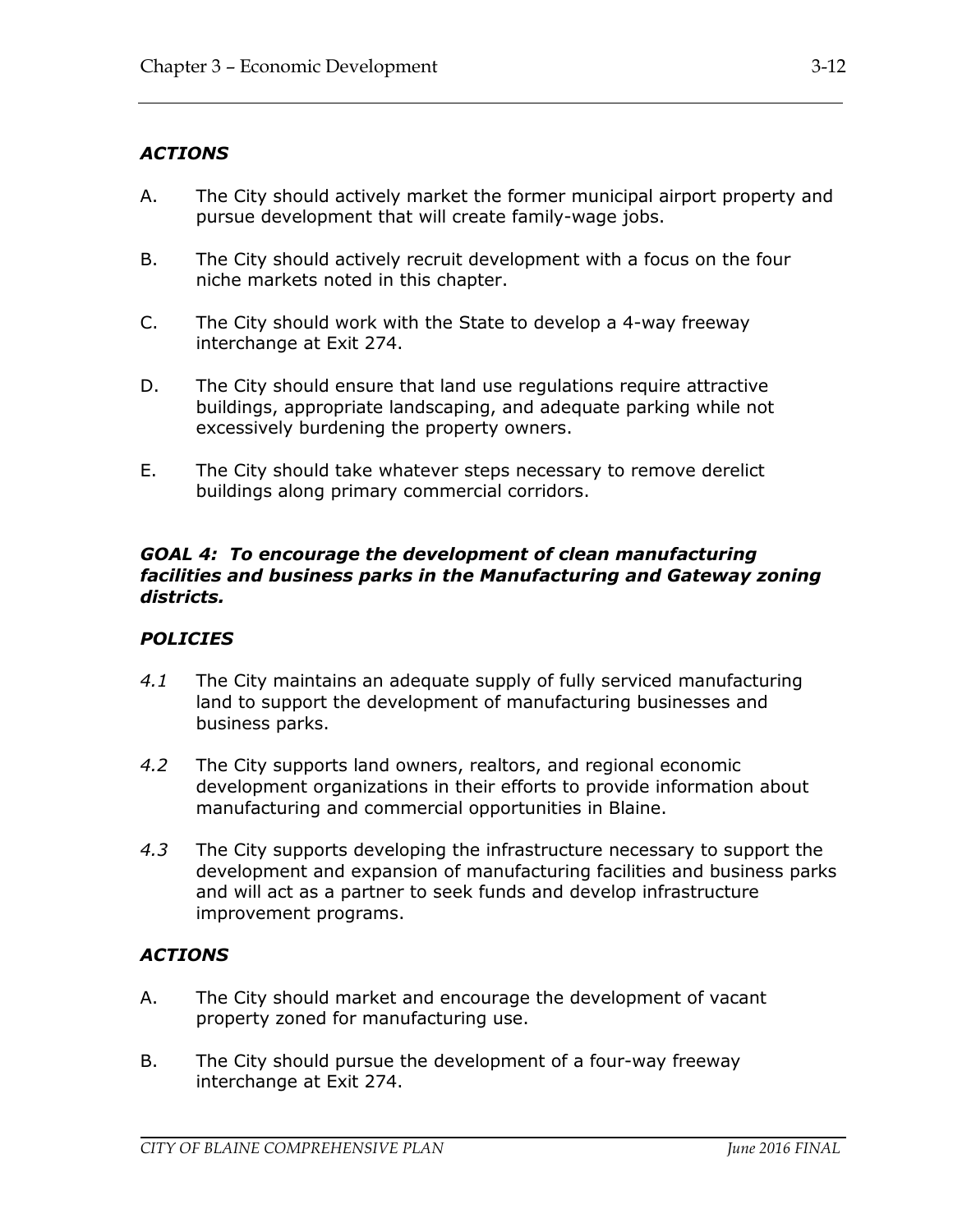### *ACTIONS*

- A. The City should actively market the former municipal airport property and pursue development that will create family-wage jobs.
- B. The City should actively recruit development with a focus on the four niche markets noted in this chapter.
- C. The City should work with the State to develop a 4-way freeway interchange at Exit 274.
- D. The City should ensure that land use regulations require attractive buildings, appropriate landscaping, and adequate parking while not excessively burdening the property owners.
- E. The City should take whatever steps necessary to remove derelict buildings along primary commercial corridors.

#### *GOAL 4: To encourage the development of clean manufacturing facilities and business parks in the Manufacturing and Gateway zoning districts.*

### *POLICIES*

- *4.1* The City maintains an adequate supply of fully serviced manufacturing land to support the development of manufacturing businesses and business parks.
- *4.2* The City supports land owners, realtors, and regional economic development organizations in their efforts to provide information about manufacturing and commercial opportunities in Blaine.
- *4.3* The City supports developing the infrastructure necessary to support the development and expansion of manufacturing facilities and business parks and will act as a partner to seek funds and develop infrastructure improvement programs.

### *ACTIONS*

- A. The City should market and encourage the development of vacant property zoned for manufacturing use.
- B. The City should pursue the development of a four-way freeway interchange at Exit 274.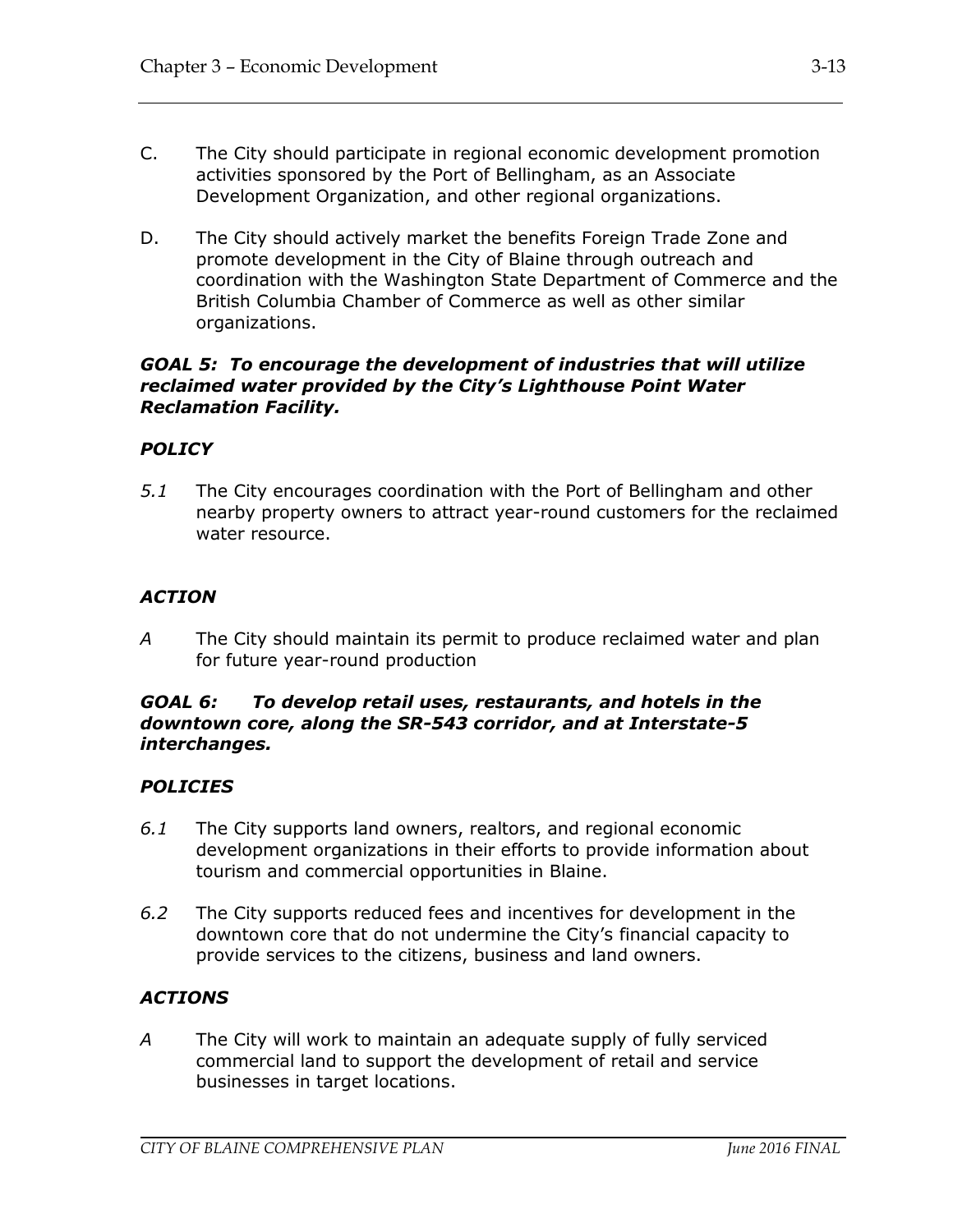- C. The City should participate in regional economic development promotion activities sponsored by the Port of Bellingham, as an Associate Development Organization, and other regional organizations.
- D. The City should actively market the benefits Foreign Trade Zone and promote development in the City of Blaine through outreach and coordination with the Washington State Department of Commerce and the British Columbia Chamber of Commerce as well as other similar organizations.

### *GOAL 5: To encourage the development of industries that will utilize reclaimed water provided by the City's Lighthouse Point Water Reclamation Facility.*

### *POLICY*

*5.1* The City encourages coordination with the Port of Bellingham and other nearby property owners to attract year-round customers for the reclaimed water resource.

### *ACTION*

*A* The City should maintain its permit to produce reclaimed water and plan for future year-round production

#### *GOAL 6: To develop retail uses, restaurants, and hotels in the downtown core, along the SR-543 corridor, and at Interstate-5 interchanges.*

### *POLICIES*

- *6.1* The City supports land owners, realtors, and regional economic development organizations in their efforts to provide information about tourism and commercial opportunities in Blaine.
- *6.2* The City supports reduced fees and incentives for development in the downtown core that do not undermine the City's financial capacity to provide services to the citizens, business and land owners.

### *ACTIONS*

*A* The City will work to maintain an adequate supply of fully serviced commercial land to support the development of retail and service businesses in target locations.